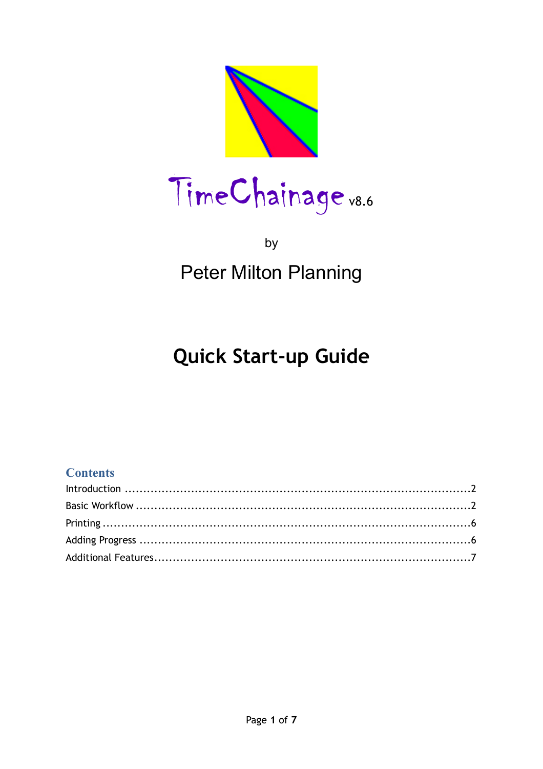

## by **Peter Milton Planning**

# **Quick Start-up Guide**

### **Contents**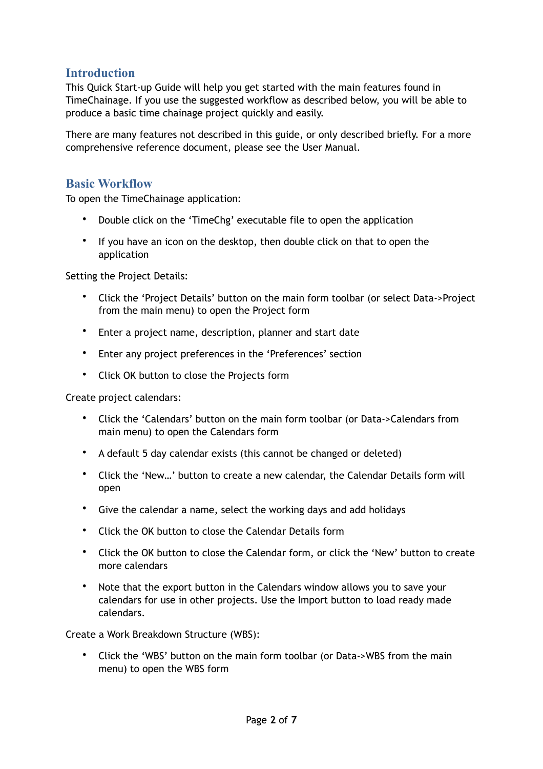### <span id="page-1-0"></span>**Introduction**

This Quick Start-up Guide will help you get started with the main features found in TimeChainage. If you use the suggested workflow as described below, you will be able to produce a basic time chainage project quickly and easily.

There are many features not described in this guide, or only described briefly. For a more comprehensive reference document, please see the User Manual.

#### <span id="page-1-1"></span>**Basic Workflow**

To open the TimeChainage application:

- Double click on the 'TimeChg' executable file to open the application
- If you have an icon on the desktop, then double click on that to open the application

Setting the Project Details:

- Click the 'Project Details' button on the main form toolbar (or select Data->Project from the main menu) to open the Project form
- Enter a project name, description, planner and start date
- Enter any project preferences in the 'Preferences' section
- Click OK button to close the Projects form

Create project calendars:

- Click the 'Calendars' button on the main form toolbar (or Data->Calendars from main menu) to open the Calendars form
- A default 5 day calendar exists (this cannot be changed or deleted)
- Click the 'New…' button to create a new calendar, the Calendar Details form will open
- Give the calendar a name, select the working days and add holidays
- Click the OK button to close the Calendar Details form
- Click the OK button to close the Calendar form, or click the 'New' button to create more calendars
- Note that the export button in the Calendars window allows you to save your calendars for use in other projects. Use the Import button to load ready made calendars.

Create a Work Breakdown Structure (WBS):

• Click the 'WBS' button on the main form toolbar (or Data->WBS from the main menu) to open the WBS form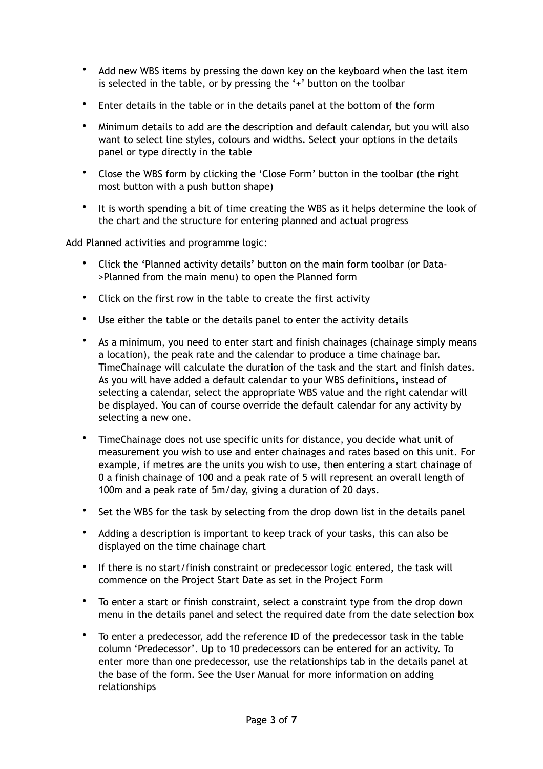- Add new WBS items by pressing the down key on the keyboard when the last item is selected in the table, or by pressing the '+' button on the toolbar
- Enter details in the table or in the details panel at the bottom of the form
- Minimum details to add are the description and default calendar, but you will also want to select line styles, colours and widths. Select your options in the details panel or type directly in the table
- Close the WBS form by clicking the 'Close Form' button in the toolbar (the right most button with a push button shape)
- It is worth spending a bit of time creating the WBS as it helps determine the look of the chart and the structure for entering planned and actual progress

Add Planned activities and programme logic:

- Click the 'Planned activity details' button on the main form toolbar (or Data- >Planned from the main menu) to open the Planned form
- Click on the first row in the table to create the first activity
- Use either the table or the details panel to enter the activity details
- As a minimum, you need to enter start and finish chainages (chainage simply means a location), the peak rate and the calendar to produce a time chainage bar. TimeChainage will calculate the duration of the task and the start and finish dates. As you will have added a default calendar to your WBS definitions, instead of selecting a calendar, select the appropriate WBS value and the right calendar will be displayed. You can of course override the default calendar for any activity by selecting a new one.
- TimeChainage does not use specific units for distance, you decide what unit of measurement you wish to use and enter chainages and rates based on this unit. For example, if metres are the units you wish to use, then entering a start chainage of 0 a finish chainage of 100 and a peak rate of 5 will represent an overall length of 100m and a peak rate of 5m/day, giving a duration of 20 days.
- Set the WBS for the task by selecting from the drop down list in the details panel
- Adding a description is important to keep track of your tasks, this can also be displayed on the time chainage chart
- If there is no start/finish constraint or predecessor logic entered, the task will commence on the Project Start Date as set in the Project Form
- To enter a start or finish constraint, select a constraint type from the drop down menu in the details panel and select the required date from the date selection box
- To enter a predecessor, add the reference ID of the predecessor task in the table column 'Predecessor'. Up to 10 predecessors can be entered for an activity. To enter more than one predecessor, use the relationships tab in the details panel at the base of the form. See the User Manual for more information on adding relationships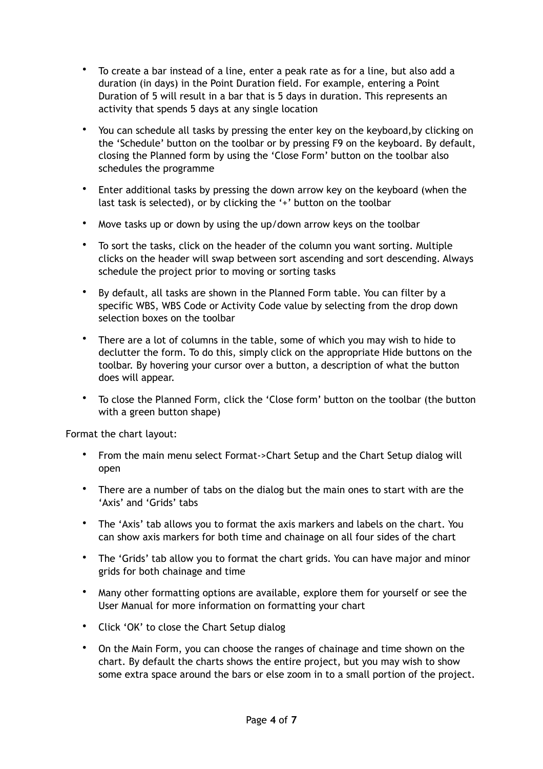- To create a bar instead of a line, enter a peak rate as for a line, but also add a duration (in days) in the Point Duration field. For example, entering a Point Duration of 5 will result in a bar that is 5 days in duration. This represents an activity that spends 5 days at any single location
- You can schedule all tasks by pressing the enter key on the keyboard,by clicking on the 'Schedule' button on the toolbar or by pressing F9 on the keyboard. By default, closing the Planned form by using the 'Close Form' button on the toolbar also schedules the programme
- Enter additional tasks by pressing the down arrow key on the keyboard (when the last task is selected), or by clicking the '+' button on the toolbar
- Move tasks up or down by using the up/down arrow keys on the toolbar
- To sort the tasks, click on the header of the column you want sorting. Multiple clicks on the header will swap between sort ascending and sort descending. Always schedule the project prior to moving or sorting tasks
- By default, all tasks are shown in the Planned Form table. You can filter by a specific WBS, WBS Code or Activity Code value by selecting from the drop down selection boxes on the toolbar
- There are a lot of columns in the table, some of which you may wish to hide to declutter the form. To do this, simply click on the appropriate Hide buttons on the toolbar. By hovering your cursor over a button, a description of what the button does will appear.
- To close the Planned Form, click the 'Close form' button on the toolbar (the button with a green button shape)

Format the chart layout:

- From the main menu select Format->Chart Setup and the Chart Setup dialog will open
- There are a number of tabs on the dialog but the main ones to start with are the 'Axis' and 'Grids' tabs
- The 'Axis' tab allows you to format the axis markers and labels on the chart. You can show axis markers for both time and chainage on all four sides of the chart
- The 'Grids' tab allow you to format the chart grids. You can have major and minor grids for both chainage and time
- Many other formatting options are available, explore them for yourself or see the User Manual for more information on formatting your chart
- Click 'OK' to close the Chart Setup dialog
- On the Main Form, you can choose the ranges of chainage and time shown on the chart. By default the charts shows the entire project, but you may wish to show some extra space around the bars or else zoom in to a small portion of the project.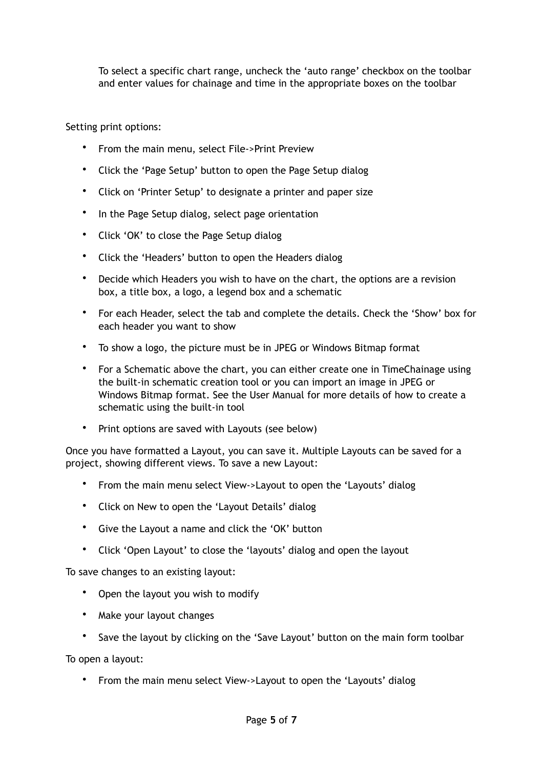To select a specific chart range, uncheck the 'auto range' checkbox on the toolbar and enter values for chainage and time in the appropriate boxes on the toolbar

Setting print options:

- From the main menu, select File->Print Preview
- Click the 'Page Setup' button to open the Page Setup dialog
- Click on 'Printer Setup' to designate a printer and paper size
- In the Page Setup dialog, select page orientation
- Click 'OK' to close the Page Setup dialog
- Click the 'Headers' button to open the Headers dialog
- Decide which Headers you wish to have on the chart, the options are a revision box, a title box, a logo, a legend box and a schematic
- For each Header, select the tab and complete the details. Check the 'Show' box for each header you want to show
- To show a logo, the picture must be in JPEG or Windows Bitmap format
- For a Schematic above the chart, you can either create one in TimeChainage using the built-in schematic creation tool or you can import an image in JPEG or Windows Bitmap format. See the User Manual for more details of how to create a schematic using the built-in tool
- Print options are saved with Layouts (see below)

Once you have formatted a Layout, you can save it. Multiple Layouts can be saved for a project, showing different views. To save a new Layout:

- From the main menu select View->Layout to open the 'Layouts' dialog
- Click on New to open the 'Layout Details' dialog
- Give the Layout a name and click the 'OK' button
- Click 'Open Layout' to close the 'layouts' dialog and open the layout

To save changes to an existing layout:

- Open the layout you wish to modify
- Make your layout changes
- Save the layout by clicking on the 'Save Layout' button on the main form toolbar

To open a layout:

• From the main menu select View->Layout to open the 'Layouts' dialog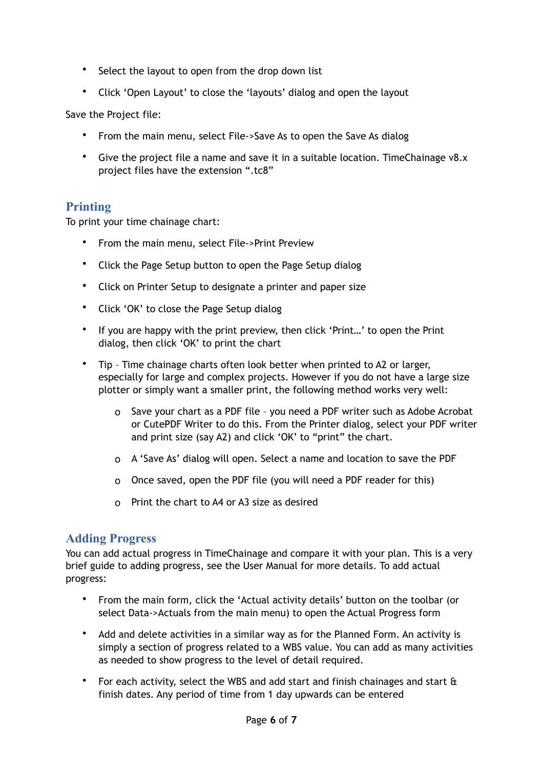- Select the layout to open from the drop down list
- Click 'Open Layout' to close the 'layouts' dialog and open the layout

Save the Project file:

- From the main menu, select File->Save As to open the Save As dialog
- Give the project file a name and save it in a suitable location. TimeChainage v8.x project files have the extension ".tc8"

### <span id="page-5-0"></span>**Printing**

To print your time chainage chart:

- From the main menu, select File->Print Preview
- Click the Page Setup button to open the Page Setup dialog
- Click on Printer Setup to designate a printer and paper size
- Click 'OK' to close the Page Setup dialog
- If you are happy with the print preview, then click 'Print…' to open the Print dialog, then click 'OK' to print the chart
- Tip Time chainage charts often look better when printed to A2 or larger, especially for large and complex projects. However if you do not have a large size plotter or simply want a smaller print, the following method works very well:
	- o Save your chart as a PDF file you need a PDF writer such as Adobe Acrobat or CutePDF Writer to do this. From the Printer dialog, select your PDF writer and print size (say A2) and click 'OK' to "print" the chart.
	- o A 'Save As' dialog will open. Select a name and location to save the PDF
	- o Once saved, open the PDF file (you will need a PDF reader for this)
	- o Print the chart to A4 or A3 size as desired

#### <span id="page-5-1"></span>**Adding Progress**

You can add actual progress in TimeChainage and compare it with your plan. This is a very brief guide to adding progress, see the User Manual for more details. To add actual progress:

- From the main form, click the 'Actual activity details' button on the toolbar (or select Data->Actuals from the main menu) to open the Actual Progress form
- Add and delete activities in a similar way as for the Planned Form. An activity is simply a section of progress related to a WBS value. You can add as many activities as needed to show progress to the level of detail required.
- For each activity, select the WBS and add start and finish chainages and start  $\hat{\mathbf{a}}$ finish dates. Any period of time from 1 day upwards can be entered